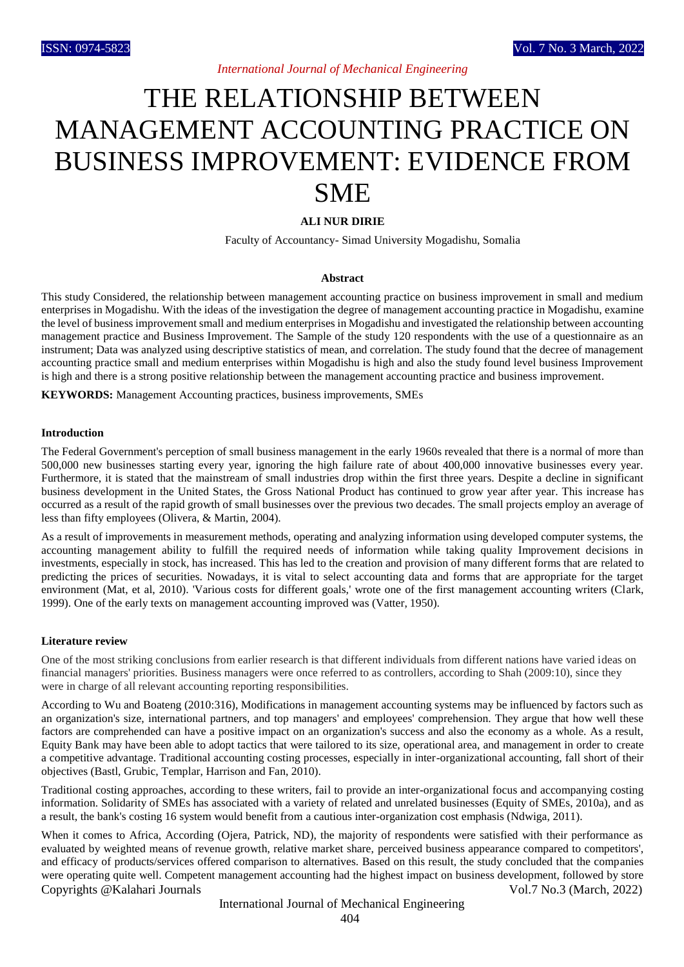# THE RELATIONSHIP BETWEEN MANAGEMENT ACCOUNTING PRACTICE ON BUSINESS IMPROVEMENT: EVIDENCE FROM SME

## **ALI NUR DIRIE**

Faculty of Accountancy- Simad University Mogadishu, Somalia

#### **Abstract**

This study Considered, the relationship between management accounting practice on business improvement in small and medium enterprises in Mogadishu. With the ideas of the investigation the degree of management accounting practice in Mogadishu, examine the level of business improvement small and medium enterprises in Mogadishu and investigated the relationship between accounting management practice and Business Improvement. The Sample of the study 120 respondents with the use of a questionnaire as an instrument; Data was analyzed using descriptive statistics of mean, and correlation. The study found that the decree of management accounting practice small and medium enterprises within Mogadishu is high and also the study found level business Improvement is high and there is a strong positive relationship between the management accounting practice and business improvement.

**KEYWORDS:** Management Accounting practices, business improvements, SMEs

#### **Introduction**

The Federal Government's perception of small business management in the early 1960s revealed that there is a normal of more than 500,000 new businesses starting every year, ignoring the high failure rate of about 400,000 innovative businesses every year. Furthermore, it is stated that the mainstream of small industries drop within the first three years. Despite a decline in significant business development in the United States, the Gross National Product has continued to grow year after year. This increase has occurred as a result of the rapid growth of small businesses over the previous two decades. The small projects employ an average of less than fifty employees (Olivera, & Martin, 2004).

As a result of improvements in measurement methods, operating and analyzing information using developed computer systems, the accounting management ability to fulfill the required needs of information while taking quality Improvement decisions in investments, especially in stock, has increased. This has led to the creation and provision of many different forms that are related to predicting the prices of securities. Nowadays, it is vital to select accounting data and forms that are appropriate for the target environment (Mat, et al, 2010). 'Various costs for different goals,' wrote one of the first management accounting writers (Clark, 1999). One of the early texts on management accounting improved was (Vatter, 1950).

#### **Literature review**

One of the most striking conclusions from earlier research is that different individuals from different nations have varied ideas on financial managers' priorities. Business managers were once referred to as controllers, according to Shah (2009:10), since they were in charge of all relevant accounting reporting responsibilities.

According to Wu and Boateng (2010:316), Modifications in management accounting systems may be influenced by factors such as an organization's size, international partners, and top managers' and employees' comprehension. They argue that how well these factors are comprehended can have a positive impact on an organization's success and also the economy as a whole. As a result, Equity Bank may have been able to adopt tactics that were tailored to its size, operational area, and management in order to create a competitive advantage. Traditional accounting costing processes, especially in inter-organizational accounting, fall short of their objectives (Bastl, Grubic, Templar, Harrison and Fan, 2010).

Traditional costing approaches, according to these writers, fail to provide an inter-organizational focus and accompanying costing information. Solidarity of SMEs has associated with a variety of related and unrelated businesses (Equity of SMEs, 2010a), and as a result, the bank's costing 16 system would benefit from a cautious inter-organization cost emphasis (Ndwiga, 2011).

Copyrights @Kalahari Journals Vol.7 No.3 (March, 2022) When it comes to Africa, According (Ojera, Patrick, ND), the majority of respondents were satisfied with their performance as evaluated by weighted means of revenue growth, relative market share, perceived business appearance compared to competitors', and efficacy of products/services offered comparison to alternatives. Based on this result, the study concluded that the companies were operating quite well. Competent management accounting had the highest impact on business development, followed by store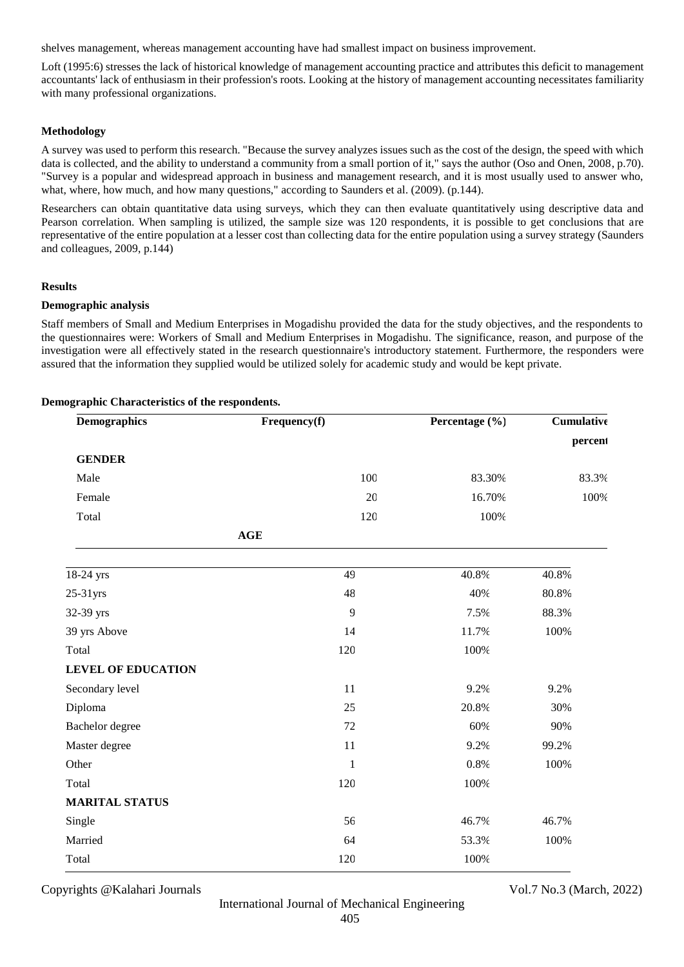shelves management, whereas management accounting have had smallest impact on business improvement.

Loft (1995:6) stresses the lack of historical knowledge of management accounting practice and attributes this deficit to management accountants' lack of enthusiasm in their profession's roots. Looking at the history of management accounting necessitates familiarity with many professional organizations.

## **Methodology**

A survey was used to perform this research. "Because the survey analyzes issues such as the cost of the design, the speed with which data is collected, and the ability to understand a community from a small portion of it," says the author (Oso and Onen, 2008, p.70). "Survey is a popular and widespread approach in business and management research, and it is most usually used to answer who, what, where, how much, and how many questions," according to Saunders et al. (2009). (p.144).

Researchers can obtain quantitative data using surveys, which they can then evaluate quantitatively using descriptive data and Pearson correlation. When sampling is utilized, the sample size was 120 respondents, it is possible to get conclusions that are representative of the entire population at a lesser cost than collecting data for the entire population using a survey strategy (Saunders and colleagues, 2009, p.144)

#### **Results**

#### **Demographic analysis**

Staff members of Small and Medium Enterprises in Mogadishu provided the data for the study objectives, and the respondents to the questionnaires were: Workers of Small and Medium Enterprises in Mogadishu. The significance, reason, and purpose of the investigation were all effectively stated in the research questionnaire's introductory statement. Furthermore, the responders were assured that the information they supplied would be utilized solely for academic study and would be kept private.

| <b>Demographics</b>       | Frequency(f)   | Percentage (%) | Cumulative |
|---------------------------|----------------|----------------|------------|
|                           |                |                | percent    |
| <b>GENDER</b>             |                |                |            |
| Male                      | 100            | 83.30%         | 83.3%      |
| Female                    | 20             | 16.70%         | 100%       |
| Total                     | 120            | 100%           |            |
|                           | $\mathbf{AGE}$ |                |            |
| 18-24 yrs                 | 49             | 40.8%          | 40.8%      |
| 25-31yrs                  | 48             | 40%            | 80.8%      |
| 32-39 yrs                 | 9              | 7.5%           | 88.3%      |
| 39 yrs Above              | 14             | 11.7%          | 100%       |
| Total                     | 120            | 100%           |            |
| <b>LEVEL OF EDUCATION</b> |                |                |            |
| Secondary level           | 11             | 9.2%           | 9.2%       |
| Diploma                   | 25             | 20.8%          | 30%        |
| Bachelor degree           | 72             | 60%            | 90%        |
| Master degree             | 11             | 9.2%           | 99.2%      |
| Other                     | $\mathbf{1}$   | 0.8%           | 100%       |
| Total                     | 120            | 100%           |            |
| <b>MARITAL STATUS</b>     |                |                |            |
| Single                    | 56             | 46.7%          | 46.7%      |
| Married                   | 64             | 53.3%          | 100%       |
| Total                     | 120            | 100%           |            |

#### **Demographic Characteristics of the respondents.**

Copyrights @Kalahari Journals Vol.7 No.3 (March, 2022)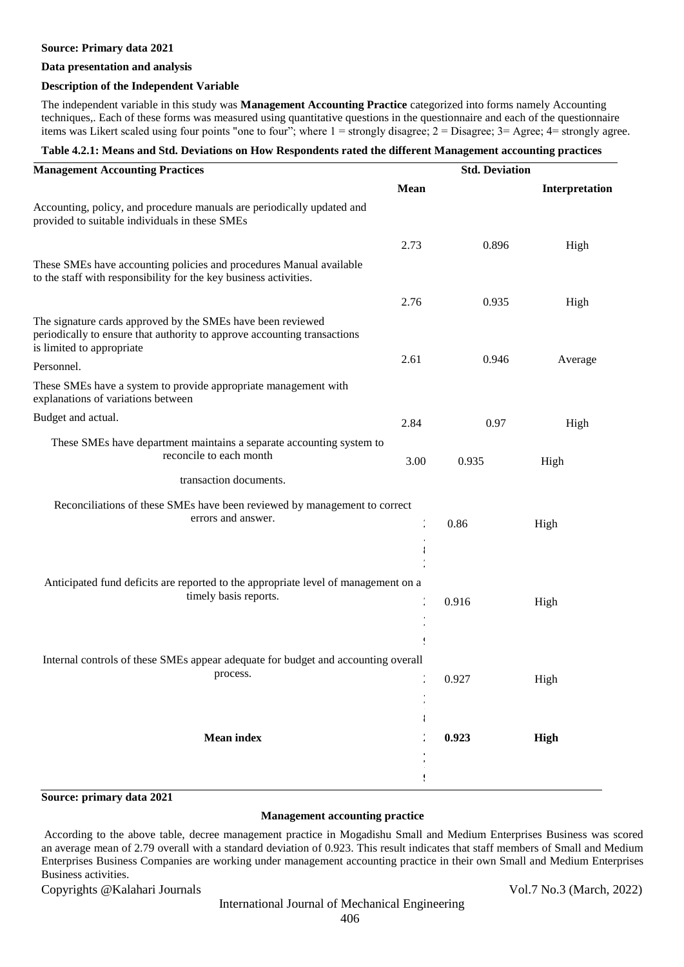#### **Source: Primary data 2021**

#### **Data presentation and analysis**

## **Description of the Independent Variable**

The independent variable in this study was **Management Accounting Practice** categorized into forms namely Accounting techniques,. Each of these forms was measured using quantitative questions in the questionnaire and each of the questionnaire items was Likert scaled using four points "one to four"; where 1 = strongly disagree; 2 = Disagree; 3= Agree; 4= strongly agree.

## **Table 4.2.1: Means and Std. Deviations on How Respondents rated the different Management accounting practices**

| <b>Management Accounting Practices</b>                                                                                                                               | <b>Std. Deviation</b> |       |                |
|----------------------------------------------------------------------------------------------------------------------------------------------------------------------|-----------------------|-------|----------------|
|                                                                                                                                                                      | <b>Mean</b>           |       | Interpretation |
| Accounting, policy, and procedure manuals are periodically updated and<br>provided to suitable individuals in these SMEs                                             |                       |       |                |
|                                                                                                                                                                      | 2.73                  | 0.896 | High           |
| These SMEs have accounting policies and procedures Manual available<br>to the staff with responsibility for the key business activities.                             |                       |       |                |
|                                                                                                                                                                      | 2.76                  | 0.935 | High           |
| The signature cards approved by the SMEs have been reviewed<br>periodically to ensure that authority to approve accounting transactions<br>is limited to appropriate |                       |       |                |
| Personnel.                                                                                                                                                           | 2.61                  | 0.946 | Average        |
| These SMEs have a system to provide appropriate management with<br>explanations of variations between                                                                |                       |       |                |
| Budget and actual.                                                                                                                                                   | 2.84                  | 0.97  | High           |
| These SMEs have department maintains a separate accounting system to<br>reconcile to each month                                                                      | 3.00                  | 0.935 | High           |
| transaction documents.                                                                                                                                               |                       |       |                |
| Reconciliations of these SMEs have been reviewed by management to correct<br>errors and answer.                                                                      |                       | 0.86  | High           |
|                                                                                                                                                                      |                       |       |                |
| Anticipated fund deficits are reported to the appropriate level of management on a<br>timely basis reports.                                                          |                       | 0.916 | High           |
| Internal controls of these SMEs appear adequate for budget and accounting overall<br>process.                                                                        |                       | 0.927 | High           |
|                                                                                                                                                                      |                       |       |                |
| <b>Mean index</b>                                                                                                                                                    |                       | 0.923 | High           |
|                                                                                                                                                                      |                       |       |                |

## **Source: primary data 2021**

## **Management accounting practice**

According to the above table, decree management practice in Mogadishu Small and Medium Enterprises Business was scored an average mean of 2.79 overall with a standard deviation of 0.923. This result indicates that staff members of Small and Medium Enterprises Business Companies are working under management accounting practice in their own Small and Medium Enterprises Business activities.

Copyrights @Kalahari Journals Vol.7 No.3 (March, 2022)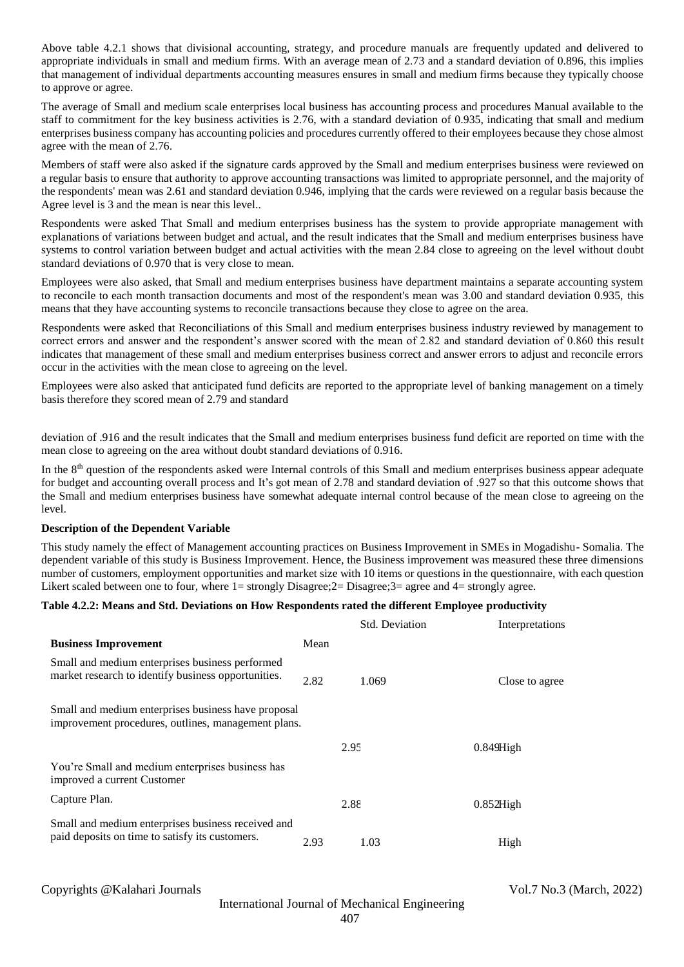Above table 4.2.1 shows that divisional accounting, strategy, and procedure manuals are frequently updated and delivered to appropriate individuals in small and medium firms. With an average mean of 2.73 and a standard deviation of 0.896, this implies that management of individual departments accounting measures ensures in small and medium firms because they typically choose to approve or agree.

The average of Small and medium scale enterprises local business has accounting process and procedures Manual available to the staff to commitment for the key business activities is 2.76, with a standard deviation of 0.935, indicating that small and medium enterprises business company has accounting policies and procedures currently offered to their employees because they chose almost agree with the mean of 2.76.

Members of staff were also asked if the signature cards approved by the Small and medium enterprises business were reviewed on a regular basis to ensure that authority to approve accounting transactions was limited to appropriate personnel, and the majority of the respondents' mean was 2.61 and standard deviation 0.946, implying that the cards were reviewed on a regular basis because the Agree level is 3 and the mean is near this level..

Respondents were asked That Small and medium enterprises business has the system to provide appropriate management with explanations of variations between budget and actual, and the result indicates that the Small and medium enterprises business have systems to control variation between budget and actual activities with the mean 2.84 close to agreeing on the level without doubt standard deviations of 0.970 that is very close to mean.

Employees were also asked, that Small and medium enterprises business have department maintains a separate accounting system to reconcile to each month transaction documents and most of the respondent's mean was 3.00 and standard deviation 0.935, this means that they have accounting systems to reconcile transactions because they close to agree on the area.

Respondents were asked that Reconciliations of this Small and medium enterprises business industry reviewed by management to correct errors and answer and the respondent's answer scored with the mean of 2.82 and standard deviation of 0.860 this result indicates that management of these small and medium enterprises business correct and answer errors to adjust and reconcile errors occur in the activities with the mean close to agreeing on the level.

Employees were also asked that anticipated fund deficits are reported to the appropriate level of banking management on a timely basis therefore they scored mean of 2.79 and standard

deviation of .916 and the result indicates that the Small and medium enterprises business fund deficit are reported on time with the mean close to agreeing on the area without doubt standard deviations of 0.916.

In the 8th question of the respondents asked were Internal controls of this Small and medium enterprises business appear adequate for budget and accounting overall process and It's got mean of 2.78 and standard deviation of .927 so that this outcome shows that the Small and medium enterprises business have somewhat adequate internal control because of the mean close to agreeing on the level.

#### **Description of the Dependent Variable**

This study namely the effect of Management accounting practices on Business Improvement in SMEs in Mogadishu- Somalia. The dependent variable of this study is Business Improvement. Hence, the Business improvement was measured these three dimensions number of customers, employment opportunities and market size with 10 items or questions in the questionnaire, with each question Likert scaled between one to four, where  $1=$  strongly Disagree; $2=$  Disagree; $3=$  agree and  $4=$  strongly agree.

#### **Table 4.2.2: Means and Std. Deviations on How Respondents rated the different Employee productivity**

|                                                                                                            |      | <b>Std. Deviation</b> | Interpretations |
|------------------------------------------------------------------------------------------------------------|------|-----------------------|-----------------|
| <b>Business Improvement</b>                                                                                | Mean |                       |                 |
| Small and medium enterprises business performed<br>market research to identify business opportunities.     | 2.82 | 1.069                 | Close to agree  |
| Small and medium enterprises business have proposal<br>improvement procedures, outlines, management plans. |      |                       |                 |
|                                                                                                            |      | 2.95                  | $0.849$ High    |
| You're Small and medium enterprises business has<br>improved a current Customer                            |      |                       |                 |
| Capture Plan.                                                                                              |      | 2.88                  | $0.852$ High    |
| Small and medium enterprises business received and<br>paid deposits on time to satisfy its customers.      | 2.93 | 1.03                  | High            |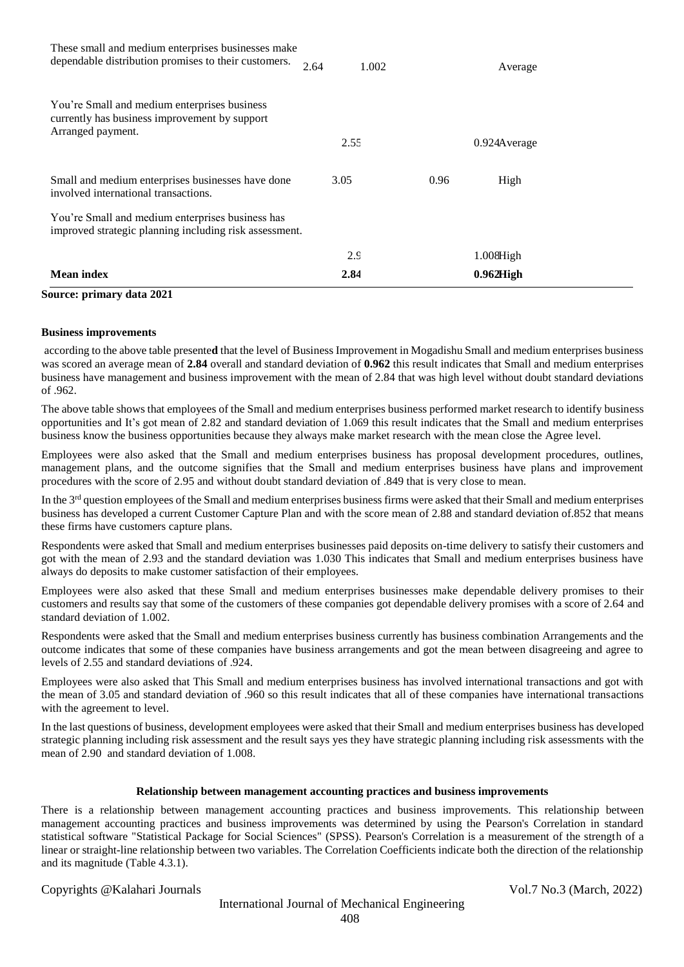| Source: primary data 2021                                                                                          |               |               |
|--------------------------------------------------------------------------------------------------------------------|---------------|---------------|
| <b>Mean index</b>                                                                                                  | 2.84          | $0.962$ High  |
|                                                                                                                    | 2.9           | $1.008$ High  |
| You're Small and medium enterprises business has<br>improved strategic planning including risk assessment.         |               |               |
| Small and medium enterprises businesses have done<br>involved international transactions.                          | 3.05          | 0.96<br>High  |
| You're Small and medium enterprises business<br>currently has business improvement by support<br>Arranged payment. | 2.55          | 0.924A verage |
| These small and medium enterprises businesses make<br>dependable distribution promises to their customers.         | 2.64<br>1.002 | Average       |

## **Business improvements**

according to the above table presente**d** that the level of Business Improvement in Mogadishu Small and medium enterprises business was scored an average mean of **2.84** overall and standard deviation of **0.962** this result indicates that Small and medium enterprises business have management and business improvement with the mean of 2.84 that was high level without doubt standard deviations of .962.

The above table shows that employees of the Small and medium enterprises business performed market research to identify business opportunities and It's got mean of 2.82 and standard deviation of 1.069 this result indicates that the Small and medium enterprises business know the business opportunities because they always make market research with the mean close the Agree level.

Employees were also asked that the Small and medium enterprises business has proposal development procedures, outlines, management plans, and the outcome signifies that the Small and medium enterprises business have plans and improvement procedures with the score of 2.95 and without doubt standard deviation of .849 that is very close to mean.

In the 3<sup>rd</sup> question employees of the Small and medium enterprises business firms were asked that their Small and medium enterprises business has developed a current Customer Capture Plan and with the score mean of 2.88 and standard deviation of.852 that means these firms have customers capture plans.

Respondents were asked that Small and medium enterprises businesses paid deposits on-time delivery to satisfy their customers and got with the mean of 2.93 and the standard deviation was 1.030 This indicates that Small and medium enterprises business have always do deposits to make customer satisfaction of their employees.

Employees were also asked that these Small and medium enterprises businesses make dependable delivery promises to their customers and results say that some of the customers of these companies got dependable delivery promises with a score of 2.64 and standard deviation of 1.002.

Respondents were asked that the Small and medium enterprises business currently has business combination Arrangements and the outcome indicates that some of these companies have business arrangements and got the mean between disagreeing and agree to levels of 2.55 and standard deviations of .924.

Employees were also asked that This Small and medium enterprises business has involved international transactions and got with the mean of 3.05 and standard deviation of .960 so this result indicates that all of these companies have international transactions with the agreement to level.

In the last questions of business, development employees were asked that their Small and medium enterprises business has developed strategic planning including risk assessment and the result says yes they have strategic planning including risk assessments with the mean of 2.90 and standard deviation of 1.008.

#### **Relationship between management accounting practices and business improvements**

There is a relationship between management accounting practices and business improvements. This relationship between management accounting practices and business improvements was determined by using the Pearson's Correlation in standard statistical software "Statistical Package for Social Sciences" (SPSS). Pearson's Correlation is a measurement of the strength of a linear or straight-line relationship between two variables. The Correlation Coefficients indicate both the direction of the relationship and its magnitude (Table 4.3.1).

Copyrights @Kalahari Journals Vol.7 No.3 (March, 2022)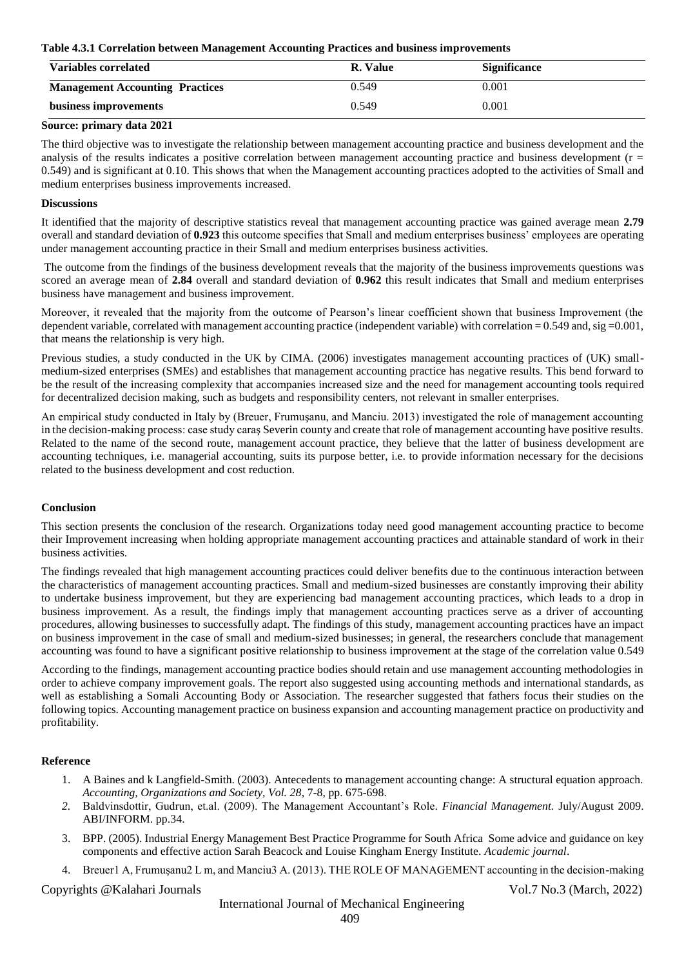#### **Table 4.3.1 Correlation between Management Accounting Practices and business improvements**

| Variables correlated                   | R. Value | <b>Significance</b> |
|----------------------------------------|----------|---------------------|
| <b>Management Accounting Practices</b> | 0.549    | 0.001               |
| business improvements                  | 0.549    | 0.001               |

## **Source: primary data 2021**

The third objective was to investigate the relationship between management accounting practice and business development and the analysis of the results indicates a positive correlation between management accounting practice and business development ( $r =$ 0.549) and is significant at 0.10. This shows that when the Management accounting practices adopted to the activities of Small and medium enterprises business improvements increased.

## **Discussions**

It identified that the majority of descriptive statistics reveal that management accounting practice was gained average mean **2.79**  overall and standard deviation of **0.923** this outcome specifies that Small and medium enterprises business' employees are operating under management accounting practice in their Small and medium enterprises business activities.

The outcome from the findings of the business development reveals that the majority of the business improvements questions was scored an average mean of **2.84** overall and standard deviation of **0.962** this result indicates that Small and medium enterprises business have management and business improvement.

Moreover, it revealed that the majority from the outcome of Pearson's linear coefficient shown that business Improvement (the dependent variable, correlated with management accounting practice (independent variable) with correlation = 0.549 and, sig = 0.001, that means the relationship is very high.

Previous studies, a study conducted in the UK by CIMA. (2006) investigates management accounting practices of (UK) smallmedium-sized enterprises (SMEs) and establishes that management accounting practice has negative results. This bend forward to be the result of the increasing complexity that accompanies increased size and the need for management accounting tools required for decentralized decision making, such as budgets and responsibility centers, not relevant in smaller enterprises.

An empirical study conducted in Italy by (Breuer, Frumuşanu, and Manciu. 2013) investigated the role of management accounting in the decision-making process: case study caraş Severin county and create that role of management accounting have positive results. Related to the name of the second route, management account practice, they believe that the latter of business development are accounting techniques, i.e. managerial accounting, suits its purpose better, i.e. to provide information necessary for the decisions related to the business development and cost reduction.

#### **Conclusion**

This section presents the conclusion of the research. Organizations today need good management accounting practice to become their Improvement increasing when holding appropriate management accounting practices and attainable standard of work in their business activities.

The findings revealed that high management accounting practices could deliver benefits due to the continuous interaction between the characteristics of management accounting practices. Small and medium-sized businesses are constantly improving their ability to undertake business improvement, but they are experiencing bad management accounting practices, which leads to a drop in business improvement. As a result, the findings imply that management accounting practices serve as a driver of accounting procedures, allowing businesses to successfully adapt. The findings of this study, management accounting practices have an impact on business improvement in the case of small and medium-sized businesses; in general, the researchers conclude that management accounting was found to have a significant positive relationship to business improvement at the stage of the correlation value 0.549

According to the findings, management accounting practice bodies should retain and use management accounting methodologies in order to achieve company improvement goals. The report also suggested using accounting methods and international standards, as well as establishing a Somali Accounting Body or Association. The researcher suggested that fathers focus their studies on the following topics. Accounting management practice on business expansion and accounting management practice on productivity and profitability.

## **Reference**

- 1. A Baines and k Langfield-Smith. (2003). Antecedents to management accounting change: A structural equation approach. *Accounting, Organizations and Society, Vol. 28*, 7-8, pp. 675-698.
- *2.* Baldvinsdottir, Gudrun, et.al. (2009). The Management Accountant's Role*. Financial Management.* July/August 2009. ABI/INFORM. pp.34.
- 3. BPP. (2005). Industrial Energy Management Best Practice Programme for South Africa Some advice and guidance on key components and effective action Sarah Beacock and Louise Kingham Energy Institute. *Academic journal*.
- 4. Breuer1 A, Frumuşanu2 L m, and Manciu3 A. (2013). THE ROLE OF MANAGEMENT accounting in the decision-making

Copyrights @Kalahari Journals Vol.7 No.3 (March, 2022)